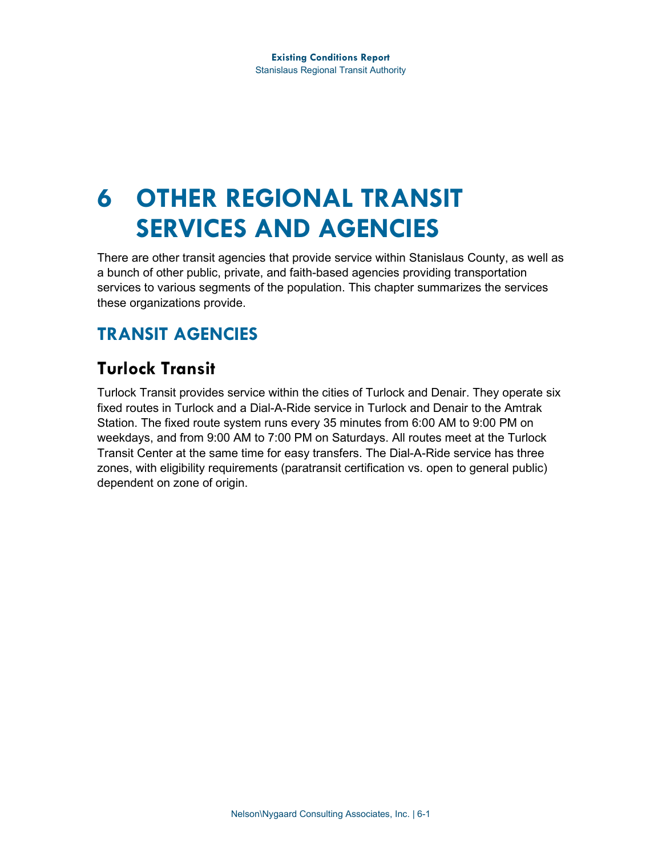# **6 OTHER REGIONAL TRANSIT SERVICES AND AGENCIES**

There are other transit agencies that provide service within Stanislaus County, as well as a bunch of other public, private, and faith-based agencies providing transportation services to various segments of the population. This chapter summarizes the services these organizations provide.

# **TRANSIT AGENCIES**

# **Turlock Transit**

Turlock Transit provides service within the cities of Turlock and Denair. They operate six fixed routes in Turlock and a Dial-A-Ride service in Turlock and Denair to the Amtrak Station. The fixed route system runs every 35 minutes from 6:00 AM to 9:00 PM on weekdays, and from 9:00 AM to 7:00 PM on Saturdays. All routes meet at the Turlock Transit Center at the same time for easy transfers. The Dial-A-Ride service has three zones, with eligibility requirements (paratransit certification vs. open to general public) dependent on zone of origin.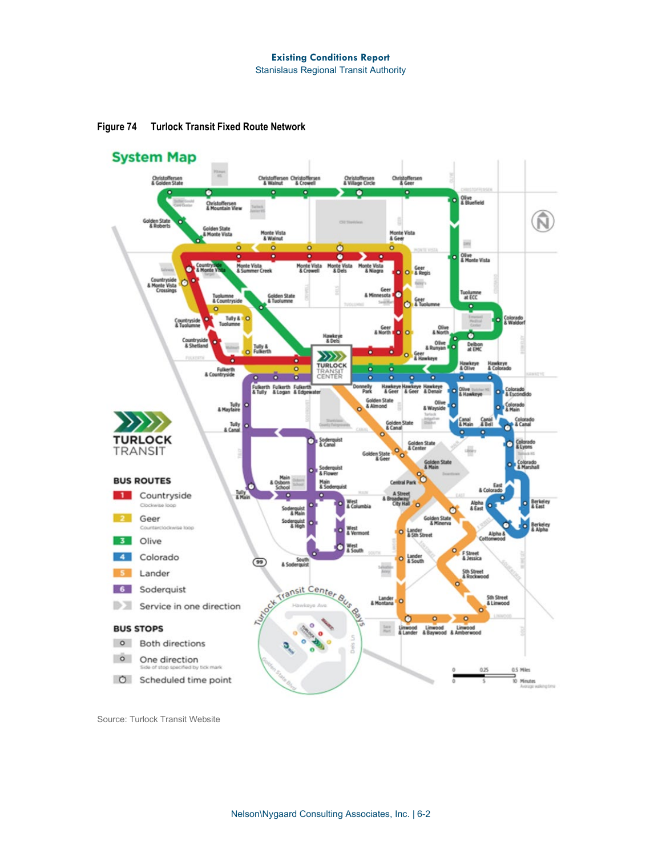

**Figure 74 Turlock Transit Fixed Route Network**

Source: Turlock Transit Website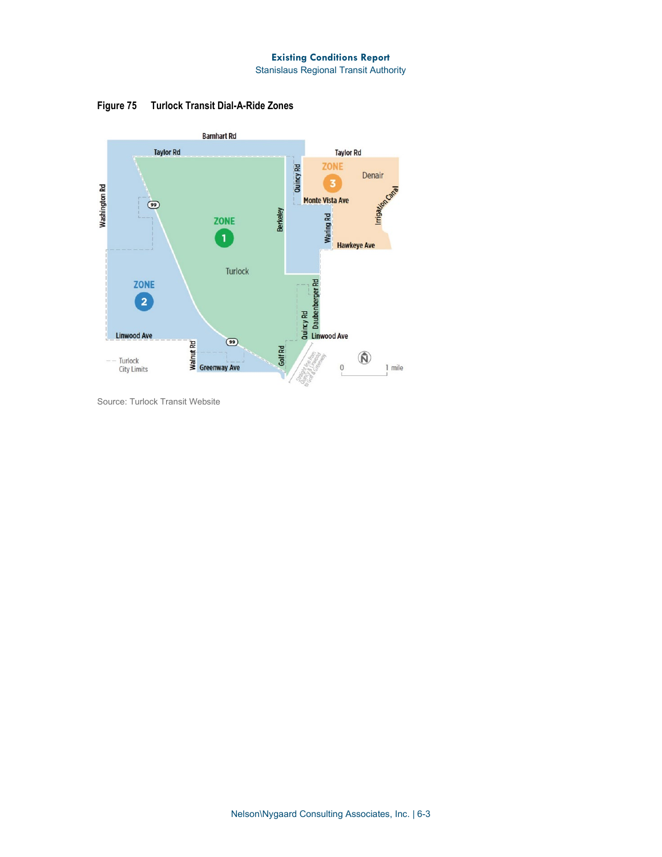#### **Existing Conditions Report**

Stanislaus Regional Transit Authority

**Figure 75 Turlock Transit Dial-A-Ride Zones**



Source: Turlock Transit Website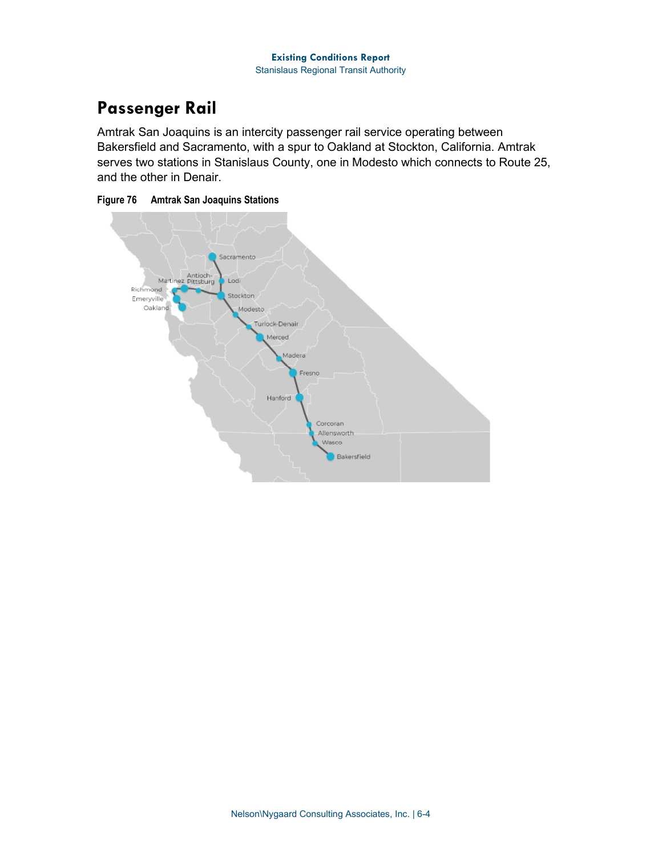# **Passenger Rail**

Amtrak San Joaquins is an intercity passenger rail service operating between Bakersfield and Sacramento, with a spur to Oakland at Stockton, California. Amtrak serves two stations in Stanislaus County, one in Modesto which connects to Route 25, and the other in Denair.



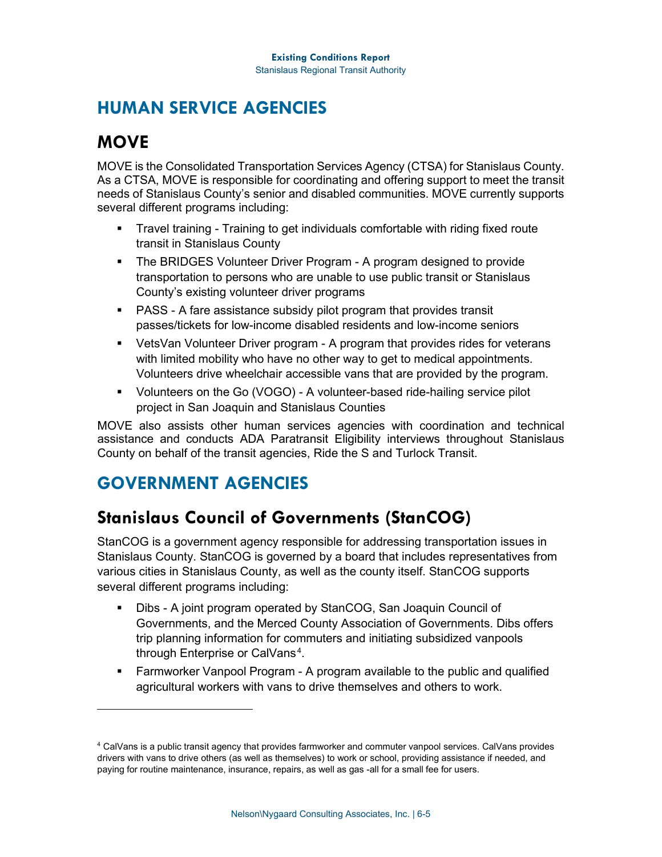### **HUMAN SERVICE AGENCIES**

# **MOVE**

MOVE is the Consolidated Transportation Services Agency (CTSA) for Stanislaus County. As a CTSA, MOVE is responsible for coordinating and offering support to meet the transit needs of Stanislaus County's senior and disabled communities. MOVE currently supports several different programs including:

- Travel training Training to get individuals comfortable with riding fixed route transit in Stanislaus County
- **The BRIDGES Volunteer Driver Program A program designed to provide** transportation to persons who are unable to use public transit or Stanislaus County's existing volunteer driver programs
- **PASS A fare assistance subsidy pilot program that provides transit** passes/tickets for low-income disabled residents and low-income seniors
- VetsVan Volunteer Driver program A program that provides rides for veterans with limited mobility who have no other way to get to medical appointments. Volunteers drive wheelchair accessible vans that are provided by the program.
- Volunteers on the Go (VOGO) A volunteer-based ride-hailing service pilot project in San Joaquin and Stanislaus Counties

MOVE also assists other human services agencies with coordination and technical assistance and conducts ADA Paratransit Eligibility interviews throughout Stanislaus County on behalf of the transit agencies, Ride the S and Turlock Transit.

## **GOVERNMENT AGENCIES**

### **Stanislaus Council of Governments (StanCOG)**

StanCOG is a government agency responsible for addressing transportation issues in Stanislaus County. StanCOG is governed by a board that includes representatives from various cities in Stanislaus County, as well as the county itself. StanCOG supports several different programs including:

- Dibs A joint program operated by StanCOG, San Joaquin Council of Governments, and the Merced County Association of Governments. Dibs offers trip planning information for commuters and initiating subsidized vanpools through Enterprise or [CalVans](https://calvans.org/) [4](#page-4-0) .
- Farmworker Vanpool Program A program available to the public and qualified agricultural workers with vans to drive themselves and others to work.

<span id="page-4-0"></span><sup>4</sup> CalVans is a public transit agency that provides farmworker and commuter vanpool services. CalVans provides drivers with vans to drive others (as well as themselves) to work or school, providing assistance if needed, and paying for routine maintenance, insurance, repairs, as well as gas -all for a small fee for users.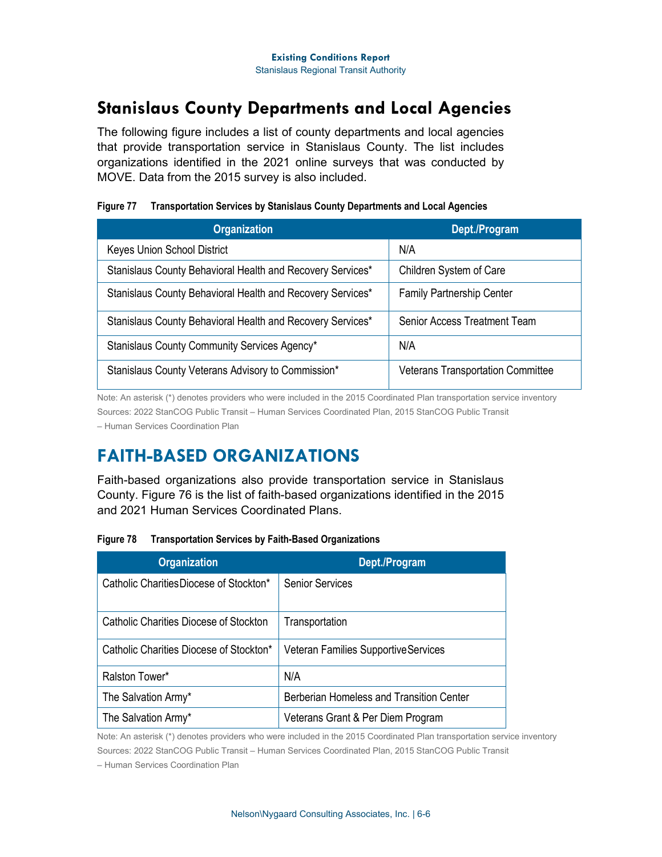#### **Stanislaus County Departments and Local Agencies**

The following figure includes a list of county departments and local agencies that provide transportation service in Stanislaus County. The list includes organizations identified in the 2021 online surveys that was conducted by MOVE. Data from the 2015 survey is also included.

| <b>Organization</b>                                        | Dept./Program                            |
|------------------------------------------------------------|------------------------------------------|
| Keyes Union School District                                | N/A                                      |
| Stanislaus County Behavioral Health and Recovery Services* | Children System of Care                  |
| Stanislaus County Behavioral Health and Recovery Services* | <b>Family Partnership Center</b>         |
| Stanislaus County Behavioral Health and Recovery Services* | Senior Access Treatment Team             |
| Stanislaus County Community Services Agency*               | N/A                                      |
| Stanislaus County Veterans Advisory to Commission*         | <b>Veterans Transportation Committee</b> |

#### **Figure 77 Transportation Services by Stanislaus County Departments and Local Agencies**

Note: An asterisk (\*) denotes providers who were included in the 2015 Coordinated Plan transportation service inventory Sources: 2022 StanCOG Public Transit – Human Services Coordinated Plan, 2015 StanCOG Public Transit – Human Services Coordination Plan

#### **FAITH-BASED ORGANIZATIONS**

Faith-based organizations also provide transportation service in Stanislaus County. [Figure 76](#page-5-0) is the list of faith-based organizations identified in the 2015 and 2021 Human Services Coordinated Plans.

<span id="page-5-0"></span>

| Figure 78 | <b>Transportation Services by Faith-Based Organizations</b> |
|-----------|-------------------------------------------------------------|
|-----------|-------------------------------------------------------------|

| <b>Organization</b>                     | Dept./Program                               |
|-----------------------------------------|---------------------------------------------|
| Catholic CharitiesDiocese of Stockton*  | <b>Senior Services</b>                      |
| Catholic Charities Diocese of Stockton  | Transportation                              |
| Catholic Charities Diocese of Stockton* | <b>Veteran Families Supportive Services</b> |
| Ralston Tower*                          | N/A                                         |
| The Salvation Army*                     | Berberian Homeless and Transition Center    |
| The Salvation Army*                     | Veterans Grant & Per Diem Program           |

Note: An asterisk (\*) denotes providers who were included in the 2015 Coordinated Plan transportation service inventory Sources: 2022 StanCOG Public Transit – Human Services Coordinated Plan, 2015 StanCOG Public Transit

– Human Services Coordination Plan